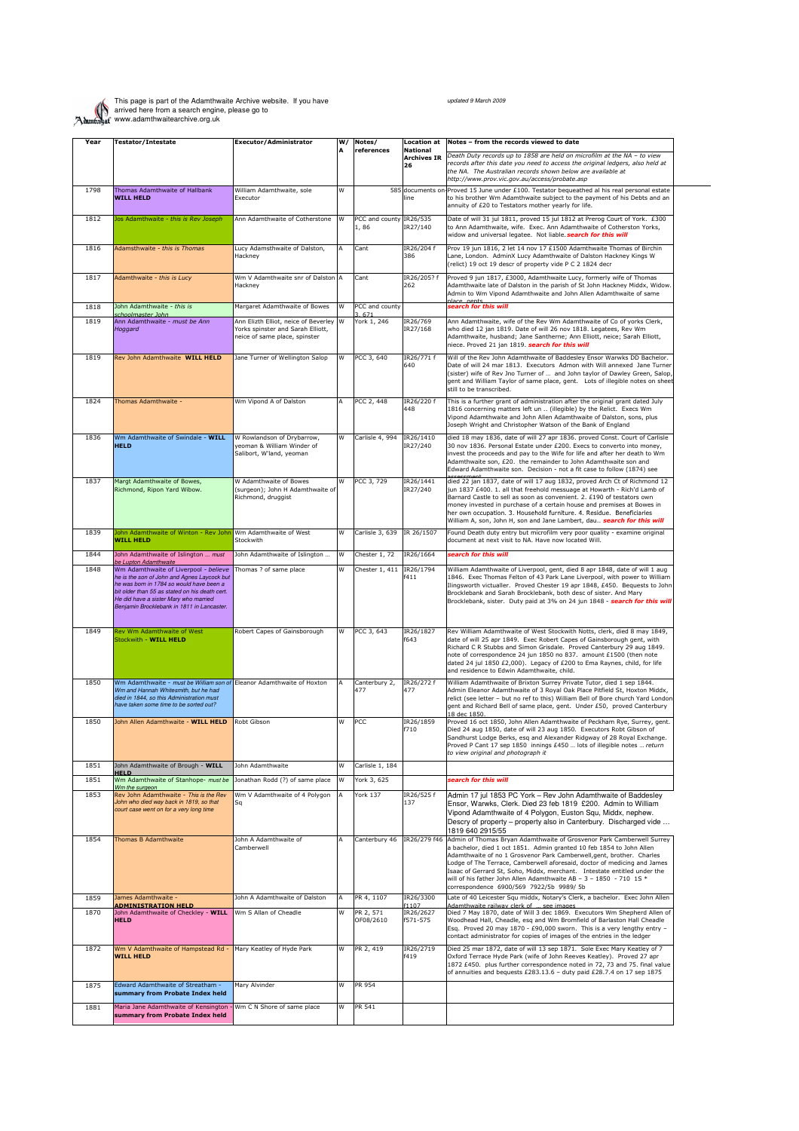

This page is part of the Adamthwaite Archive website. If you have arrived here from a search engine, please go to www.adamthwaitearchive.org.uk

| Year | <b>Testator/Intestate</b>                                                                                                                                                                                                                                                 | Executor/Administrator                                                                                       | W/ | Notes/                          | <b>Location at</b>                    | Notes - from the records viewed to date                                                                                                                                                                                                                                                                                                                                                                                                                                                                      |
|------|---------------------------------------------------------------------------------------------------------------------------------------------------------------------------------------------------------------------------------------------------------------------------|--------------------------------------------------------------------------------------------------------------|----|---------------------------------|---------------------------------------|--------------------------------------------------------------------------------------------------------------------------------------------------------------------------------------------------------------------------------------------------------------------------------------------------------------------------------------------------------------------------------------------------------------------------------------------------------------------------------------------------------------|
|      |                                                                                                                                                                                                                                                                           |                                                                                                              |    | references                      | <b>National</b><br><b>Archives IR</b> | Death Duty records up to 1858 are held on microfilm at the NA - to view                                                                                                                                                                                                                                                                                                                                                                                                                                      |
|      |                                                                                                                                                                                                                                                                           |                                                                                                              |    |                                 | 26                                    | records after this date you need to access the original ledgers, also held at<br>the NA. The Australian records shown below are available at<br>http://www.prov.vic.gov.au/access/probate.asp                                                                                                                                                                                                                                                                                                                |
| 1798 | Thomas Adamthwaite of Hallbank                                                                                                                                                                                                                                            | William Adamthwaite, sole                                                                                    | W  |                                 | 585 documents on                      | Proved 15 June under £100. Testator bequeathed al his real personal estate                                                                                                                                                                                                                                                                                                                                                                                                                                   |
|      | <b>WILL HELD</b>                                                                                                                                                                                                                                                          | Executor                                                                                                     |    |                                 | line                                  | to his brother Wm Adamthwaite subject to the payment of his Debts and an<br>annuity of £20 to Testators mother yearly for life.                                                                                                                                                                                                                                                                                                                                                                              |
| 1812 | Jos Adamthwaite - this is Rev Joseph                                                                                                                                                                                                                                      | Ann Adamthwaite of Cotherstone                                                                               | W  | PCC and county IR26/535<br>1,86 | IR27/140                              | Date of will 31 jul 1811, proved 15 jul 1812 at Prerog Court of York. £300<br>to Ann Adamthwaite, wife. Exec. Ann Adamthwaite of Cotherston Yorks,<br>widow and universal legatee. Not liable. search for this will                                                                                                                                                                                                                                                                                          |
| 1816 | Adamsthwaite - this is Thomas                                                                                                                                                                                                                                             | Lucy Adamsthwaite of Dalston,<br>Hackney                                                                     |    | Cant                            | IR26/204 f<br>386                     | Prov 19 jun 1816, 2 let 14 nov 17 £1500 Adamthwaite Thomas of Birchin<br>Lane, London. AdminX Lucy Adamthwaite of Dalston Hackney Kings W<br>(relict) 19 oct 19 descr of property vide P C 2 1824 decr                                                                                                                                                                                                                                                                                                       |
| 1817 | Adamthwaite - this is Lucy                                                                                                                                                                                                                                                | Wm V Adamthwaite snr of Dalston<br>Hackney                                                                   | ΙΔ | Cant                            | IR26/205? f<br>262                    | Proved 9 jun 1817, £3000, Adamthwaite Lucy, formerly wife of Thomas<br>Adamthwaite late of Dalston in the parish of St John Hackney Middx, Widow.<br>Admin to Wm Vipond Adamthwaite and John Allen Adamthwaite of same                                                                                                                                                                                                                                                                                       |
| 1818 | John Adamthwaite - this is                                                                                                                                                                                                                                                | Margaret Adamthwaite of Bowes                                                                                | W  | PCC and county                  |                                       | search for this will                                                                                                                                                                                                                                                                                                                                                                                                                                                                                         |
| 1819 | choolmaster John<br>Ann Adamthwaite - must be Ann<br>Hoggard                                                                                                                                                                                                              | Ann Elizth Elliot, neice of Beverley W<br>Yorks spinster and Sarah Elliott,<br>neice of same place, spinster |    | 3.671<br>York 1, 246            | IR26/769<br>IR27/168                  | Ann Adamthwaite, wife of the Rev Wm Adamthwaite of Co of yorks Clerk,<br>who died 12 jan 1819. Date of will 26 nov 1818. Legatees, Rev Wm<br>Adamthwaite, husband; Jane Santherne; Ann Elliott, neice; Sarah Elliott,<br>niece. Proved 21 jan 1819. search for this will                                                                                                                                                                                                                                     |
| 1819 | Rev John Adamthwaite WILL HELD                                                                                                                                                                                                                                            | Jane Turner of Wellington Salop                                                                              | W  | PCC 3, 640                      | IR26/771 f<br>640                     | Will of the Rev John Adamthwaite of Baddesley Ensor Warwks DD Bachelor.<br>Date of will 24 mar 1813. Executors Admon with Will annexed Jane Turner<br>(sister) wife of Rev Jno Turner of  and John taylor of Dawley Green, Salop,<br>gent and William Taylor of same place, gent. Lots of illegible notes on sheet<br>still to be transcribed.                                                                                                                                                               |
| 1824 | Thomas Adamthwaite -                                                                                                                                                                                                                                                      | Wm Vipond A of Dalston                                                                                       |    | PCC 2, 448                      | IR26/220 f<br>448                     | This is a further grant of administration after the original grant dated July<br>1816 concerning matters left un  (illegible) by the Relict. Execs Wm<br>Vipond Adamthwaite and John Allen Adamthwaite of Dalston, sons, plus<br>Joseph Wright and Christopher Watson of the Bank of England                                                                                                                                                                                                                 |
| 1836 | Wm Adamthwaite of Swindale - WILL<br><b>HELD</b>                                                                                                                                                                                                                          | W Rowlandson of Drybarrow.<br>veoman & William Winder of<br>Salibort, W'land, yeoman                         | W  | Carlisle 4, 994                 | IR26/1410<br>IR27/240                 | died 18 may 1836, date of will 27 apr 1836. proved Const. Court of Carlisle<br>30 nov 1836. Personal Estate under £200. Execs to converto into money,<br>invest the proceeds and pay to the Wife for life and after her death to Wm<br>Adamthwaite son, £20. the remainder to John Adamthwaite son and<br>Edward Adamthwaite son. Decision - not a fit case to follow (1874) see                                                                                                                             |
| 1837 | Margt Adamthwaite of Bowes,<br>Richmond, Ripon Yard Wibow.                                                                                                                                                                                                                | W Adamthwaite of Bowes<br>(surgeon); John H Adamthwaite of<br>Richmond, druggist                             | W  | PCC 3, 729                      | IR26/1441<br>IR27/240                 | died 22 jan 1837, date of will 17 aug 1832, proved Arch Ct of Richmond 12<br>jun 1837 £400. 1. all that freehold messuage at Howarth - Rich'd Lamb of<br>Barnard Castle to sell as soon as convenient. 2. £190 of testators own<br>money invested in purchase of a certain house and premises at Bowes in<br>her own occupation. 3. Household furniture. 4. Residue. Beneficiaries<br>William A, son, John H, son and Jane Lambert, dau search for this will                                                 |
| 1839 | John Adamthwaite of Winton - Rev John Wm Adamthwaite of West<br><b>WILL HELD</b>                                                                                                                                                                                          | Stockwith                                                                                                    | W  | Carlisle 3, 639                 | IR 26/1507                            | Found Death duty entry but microfilm very poor quality - examine original<br>document at next visit to NA. Have now located Will.                                                                                                                                                                                                                                                                                                                                                                            |
| 1844 | John Adamthwaite of Islington  must<br>be Lupton Adamthwaite                                                                                                                                                                                                              | John Adamthwaite of Islington                                                                                | W  | Chester 1, 72                   | IR26/1664                             | search for this will                                                                                                                                                                                                                                                                                                                                                                                                                                                                                         |
| 1848 | Wm Adamthwaite of Liverpool - believe<br>he is the son of John and Agnes Laycock but<br>he was born in 1784 so would have been a<br>bit older than 55 as stated on his death cert.<br>He did have a sister Mary who married<br>Benjamin Brocklebank in 1811 in Lancaster. | Thomas ? of same place                                                                                       | W  | Chester 1, 411                  | IR26/1794<br>f411                     | William Adamthwaite of Liverpool, gent, died 8 apr 1848, date of will 1 aug<br>1846. Exec Thomas Felton of 43 Park Lane Liverpool, with power to William<br>Ilingsworth victualler. Proved Chester 19 apr 1848, £450. Bequests to John<br>Brocklebank and Sarah Brocklebank, both desc of sister. And Mary<br>Brocklebank, sister. Duty paid at 3% on 24 jun 1848 - search for this will                                                                                                                     |
| 1849 | Rev Wm Adamthwaite of West<br>Stockwith - WILL HELD                                                                                                                                                                                                                       | Robert Capes of Gainsborough                                                                                 | W  | PCC 3, 643                      | IR26/1827<br>f643                     | Rev William Adamthwaite of West Stockwith Notts, clerk, died 8 may 1849,<br>date of will 25 apr 1849. Exec Robert Capes of Gainsborough gent, with<br>Richard C R Stubbs and Simon Grisdale. Proved Canterbury 29 aug 1849.<br>note of correspondence 24 jun 1850 no 837. amount £1500 (then note<br>dated 24 jul 1850 £2,000). Legacy of £200 to Ema Raynes, child, for life<br>and residence to Edwin Adamthwaite, child.                                                                                  |
| 1850 | Wm Adamthwaite - must be William son of Eleanor Adamthwaite of Hoxton<br>Wm and Hannah Whitesmith, but he had<br>died in 1844, so this Administration must<br>have taken some time to be sorted out?                                                                      |                                                                                                              | A  | Canterbury 2,<br>477            | IR26/272 f<br>477                     | William Adamthwaite of Brixton Surrey Private Tutor, died 1 sep 1844.<br>Admin Eleanor Adamthwaite of 3 Royal Oak Place Pitfield St, Hoxton Middx,<br>relict (see letter - but no ref to this) William Bell of Bore church Yard London<br>gent and Richard Bell of same place, gent. Under £50, proved Canterbury<br>18 dec 1850.                                                                                                                                                                            |
| 1850 | John Allen Adamthwaite - WILL HELD                                                                                                                                                                                                                                        | Robt Gibson                                                                                                  | W  | PCC                             | IR26/1859<br>f710                     | Proved 16 oct 1850, John Allen Adamthwaite of Peckham Rye, Surrey, gent.<br>Died 24 aug 1850, date of will 23 aug 1850. Executors Robt Gibson of<br>Sandhurst Lodge Berks, esq and Alexander Ridgway of 28 Royal Exchange.<br>Proved P Cant 17 sep 1850 innings £450  lots of illegible notes  return<br>to view original and photograph it                                                                                                                                                                  |
| 1851 | John Adamthwaite of Brough - WILL<br><b>HELD</b>                                                                                                                                                                                                                          | John Adamthwaite                                                                                             | W  | Carlisle 1, 184                 |                                       |                                                                                                                                                                                                                                                                                                                                                                                                                                                                                                              |
| 1851 | Wm Adamthwaite of Stanhope- must be<br>Wm the surgeon                                                                                                                                                                                                                     | Jonathan Rodd (?) of same place                                                                              | W  | York 3, 625                     |                                       | search for this will                                                                                                                                                                                                                                                                                                                                                                                                                                                                                         |
| 1853 | Rev John Adamthwaite - This is the Rev<br>John who died way back in 1819, so that<br>court case went on for a very long time                                                                                                                                              | Wm V Adamthwaite of 4 Polygon<br>Sq                                                                          |    | <b>York 137</b>                 | IR26/525 f<br>137                     | Admin 17 jul 1853 PC York - Rev John Adamthwaite of Baddesley<br>Ensor, Warwks, Clerk. Died 23 feb 1819 £200. Admin to William<br>Vipond Adamthwaite of 4 Polygon, Euston Squ, Middx, nephew.<br>Descry of property - property also in Canterbury. Discharged vide<br>1819 640 2915/55                                                                                                                                                                                                                       |
| 1854 | <b>Thomas B Adamthwaite</b>                                                                                                                                                                                                                                               | John A Adamthwaite of<br>Camberwell                                                                          |    | Canterbury 46                   |                                       | IR26/279 f46 Admin of Thomas Bryan Adamthwaite of Grosvenor Park Camberwell Surrey<br>a bachelor, died 1 oct 1851. Admin granted 10 feb 1854 to John Allen<br>Adamthwaite of no 1 Grosvenor Park Camberwell, gent, brother. Charles<br>Lodge of The Terrace, Camberwell aforesaid, doctor of medicing and James<br>Isaac of Gerrard St, Soho, Middx, merchant. Intestate entitled under the<br>will of his father John Allen Adamthwaite AB - 3 - 1850 - 710 1S *<br>correspondence 6900/569 7922/5b 9989/5b |
| 1859 | James Adamthwaite -<br><b>ADMINISTRATION HELD</b>                                                                                                                                                                                                                         | John A Adamthwaite of Dalston                                                                                | A  | PR 4, 1107                      | IR26/3300<br>f1107                    | Late of 40 Leicester Squ middx, Notary's Clerk, a bachelor. Exec John Allen<br>Adamthwaite railway clerk of  see images                                                                                                                                                                                                                                                                                                                                                                                      |
| 1870 | John Adamthwaite of Checkley - WILL Wm S Allan of Cheadle                                                                                                                                                                                                                 |                                                                                                              | W  | PR 2, 571<br>OF08/2610          | IR26/2627<br>f571-575                 | Died 7 May 1870, date of Will 3 dec 1869. Executors Wm Shepherd Allen of<br>Woodhead Hall, Cheadle, esq and Wm Bromfield of Barlaston Hall Cheadle<br>Esq. Proved 20 may 1870 - £90,000 sworn. This is a very lengthy entry -                                                                                                                                                                                                                                                                                |
|      | <b>HELD</b>                                                                                                                                                                                                                                                               |                                                                                                              |    |                                 |                                       | contact administrator for copies of images of the entries in the ledger                                                                                                                                                                                                                                                                                                                                                                                                                                      |
| 1872 | Wm V Adamthwaite of Hampstead Rd -<br><b>WILL HELD</b>                                                                                                                                                                                                                    | Mary Keatley of Hyde Park                                                                                    | W  | PR 2, 419                       | IR26/2719<br>f419                     | Died 25 mar 1872, date of will 13 sep 1871. Sole Exec Mary Keatley of 7<br>Oxford Terrace Hyde Park (wife of John Reeves Keatley). Proved 27 apr<br>1872 £450. plus further correspondence noted in 72, 73 and 75. final value<br>of annuities and bequests £283.13.6 - duty paid £28.7.4 on 17 sep 1875                                                                                                                                                                                                     |
| 1875 | Edward Adamthwaite of Streatham -<br>summary from Probate Index held                                                                                                                                                                                                      | Mary Alvinder                                                                                                | W  | PR 954                          |                                       |                                                                                                                                                                                                                                                                                                                                                                                                                                                                                                              |

updated 9 March 2009